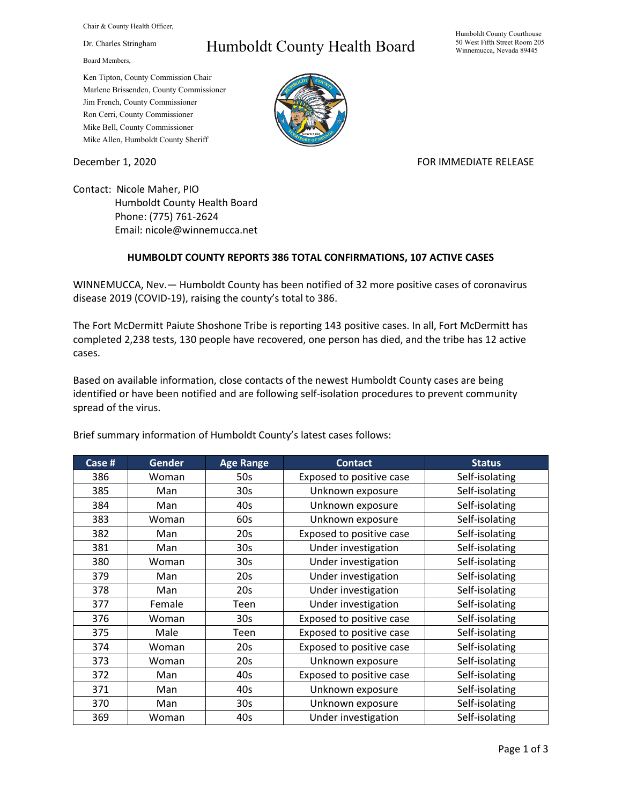Chair & County Health Officer,

Dr. Charles Stringham

Board Members,

## Humboldt County Health Board

Humboldt County Courthouse 50 West Fifth Street Room 205 Winnemucca, Nevada 89445

Ken Tipton, County Commission Chair Marlene Brissenden, County Commissioner Jim French, County Commissioner Ron Cerri, County Commissioner Mike Bell, County Commissioner Mike Allen, Humboldt County Sheriff

December 1, 2020 FOR IMMEDIATE RELEASE

Contact: Nicole Maher, PIO Humboldt County Health Board Phone: (775) 761-2624 Email: nicole@winnemucca.net

## **HUMBOLDT COUNTY REPORTS 386 TOTAL CONFIRMATIONS, 107 ACTIVE CASES**

WINNEMUCCA, Nev.— Humboldt County has been notified of 32 more positive cases of coronavirus disease 2019 (COVID-19), raising the county's total to 386.

The Fort McDermitt Paiute Shoshone Tribe is reporting 143 positive cases. In all, Fort McDermitt has completed 2,238 tests, 130 people have recovered, one person has died, and the tribe has 12 active cases.

Based on available information, close contacts of the newest Humboldt County cases are being identified or have been notified and are following self-isolation procedures to prevent community spread of the virus.

| Brief summary information of Humboldt County's latest cases follows: |  |  |  |
|----------------------------------------------------------------------|--|--|--|
|                                                                      |  |  |  |

| Case # | <b>Gender</b> | <b>Age Range</b> | <b>Contact</b>           | <b>Status</b>  |
|--------|---------------|------------------|--------------------------|----------------|
| 386    | Woman         | 50s              | Exposed to positive case | Self-isolating |
| 385    | Man           | 30 <sub>s</sub>  | Unknown exposure         | Self-isolating |
| 384    | Man           | 40s              | Unknown exposure         | Self-isolating |
| 383    | Woman         | 60s              | Unknown exposure         | Self-isolating |
| 382    | Man           | 20s              | Exposed to positive case | Self-isolating |
| 381    | Man           | 30 <sub>s</sub>  | Under investigation      | Self-isolating |
| 380    | Woman         | 30 <sub>s</sub>  | Under investigation      | Self-isolating |
| 379    | Man           | 20s              | Under investigation      | Self-isolating |
| 378    | Man           | 20s              | Under investigation      | Self-isolating |
| 377    | Female        | Teen             | Under investigation      | Self-isolating |
| 376    | Woman         | 30 <sub>s</sub>  | Exposed to positive case | Self-isolating |
| 375    | Male          | Teen             | Exposed to positive case | Self-isolating |
| 374    | Woman         | 20s              | Exposed to positive case | Self-isolating |
| 373    | Woman         | 20s              | Unknown exposure         | Self-isolating |
| 372    | Man           | 40s              | Exposed to positive case | Self-isolating |
| 371    | Man           | 40s              | Unknown exposure         | Self-isolating |
| 370    | Man           | 30 <sub>s</sub>  | Unknown exposure         | Self-isolating |
| 369    | Woman         | 40s              | Under investigation      | Self-isolating |

Page 1 of 3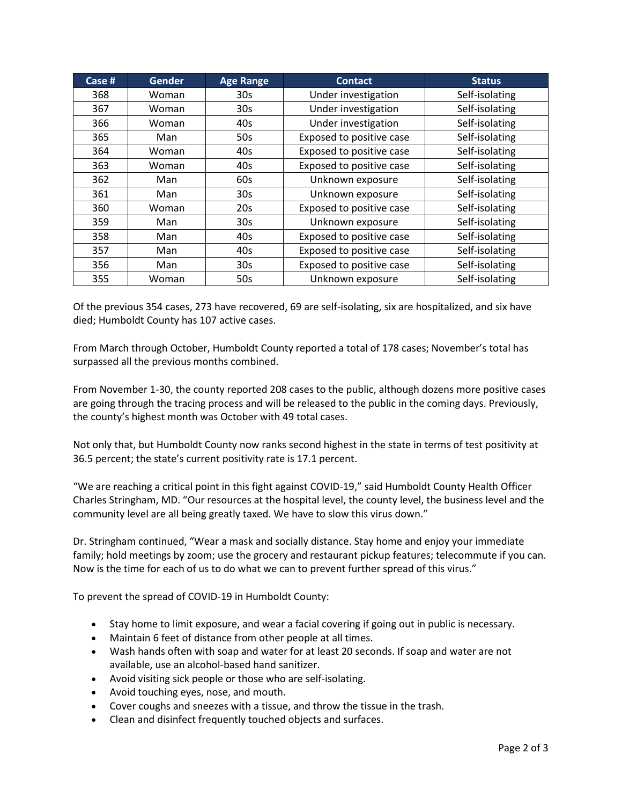| Case # | <b>Gender</b> | <b>Age Range</b> | <b>Contact</b>           | <b>Status</b>  |
|--------|---------------|------------------|--------------------------|----------------|
| 368    | Woman         | 30 <sub>s</sub>  | Under investigation      | Self-isolating |
| 367    | Woman         | 30 <sub>s</sub>  | Under investigation      | Self-isolating |
| 366    | Woman         | 40s              | Under investigation      | Self-isolating |
| 365    | Man           | 50s              | Exposed to positive case | Self-isolating |
| 364    | Woman         | 40s              | Exposed to positive case | Self-isolating |
| 363    | Woman         | 40s              | Exposed to positive case | Self-isolating |
| 362    | Man           | 60s              | Unknown exposure         | Self-isolating |
| 361    | Man           | 30 <sub>s</sub>  | Unknown exposure         | Self-isolating |
| 360    | Woman         | 20s              | Exposed to positive case | Self-isolating |
| 359    | Man           | 30 <sub>s</sub>  | Unknown exposure         | Self-isolating |
| 358    | Man           | 40s              | Exposed to positive case | Self-isolating |
| 357    | Man           | 40s              | Exposed to positive case | Self-isolating |
| 356    | Man           | 30 <sub>s</sub>  | Exposed to positive case | Self-isolating |
| 355    | Woman         | 50s              | Unknown exposure         | Self-isolating |

Of the previous 354 cases, 273 have recovered, 69 are self-isolating, six are hospitalized, and six have died; Humboldt County has 107 active cases.

From March through October, Humboldt County reported a total of 178 cases; November's total has surpassed all the previous months combined.

From November 1-30, the county reported 208 cases to the public, although dozens more positive cases are going through the tracing process and will be released to the public in the coming days. Previously, the county's highest month was October with 49 total cases.

Not only that, but Humboldt County now ranks second highest in the state in terms of test positivity at 36.5 percent; the state's current positivity rate is 17.1 percent.

"We are reaching a critical point in this fight against COVID-19," said Humboldt County Health Officer Charles Stringham, MD. "Our resources at the hospital level, the county level, the business level and the community level are all being greatly taxed. We have to slow this virus down."

Dr. Stringham continued, "Wear a mask and socially distance. Stay home and enjoy your immediate family; hold meetings by zoom; use the grocery and restaurant pickup features; telecommute if you can. Now is the time for each of us to do what we can to prevent further spread of this virus."

To prevent the spread of COVID-19 in Humboldt County:

- Stay home to limit exposure, and wear a facial covering if going out in public is necessary.
- Maintain 6 feet of distance from other people at all times.
- Wash hands often with soap and water for at least 20 seconds. If soap and water are not available, use an alcohol-based hand sanitizer.
- Avoid visiting sick people or those who are self-isolating.
- Avoid touching eyes, nose, and mouth.
- Cover coughs and sneezes with a tissue, and throw the tissue in the trash.
- Clean and disinfect frequently touched objects and surfaces.